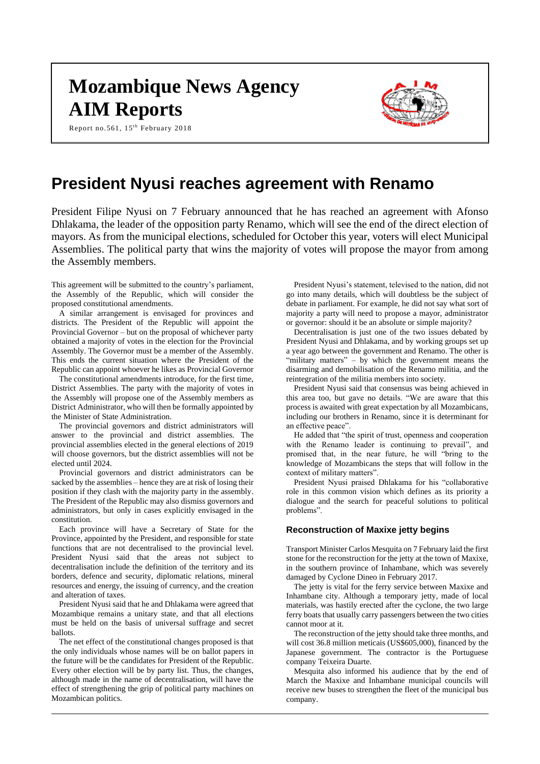# **Mozambique News Agency AIM Reports**

Report no.561, 15<sup>th</sup> February 2018



# **President Nyusi reaches agreement with Renamo**

President Filipe Nyusi on 7 February announced that he has reached an agreement with Afonso Dhlakama, the leader of the opposition party Renamo, which will see the end of the direct election of mayors. As from the municipal elections, scheduled for October this year, voters will elect Municipal Assemblies. The political party that wins the majority of votes will propose the mayor from among the Assembly members.

This agreement will be submitted to the country's parliament, the Assembly of the Republic, which will consider the proposed constitutional amendments.

A similar arrangement is envisaged for provinces and districts. The President of the Republic will appoint the Provincial Governor – but on the proposal of whichever party obtained a majority of votes in the election for the Provincial Assembly. The Governor must be a member of the Assembly. This ends the current situation where the President of the Republic can appoint whoever he likes as Provincial Governor

The constitutional amendments introduce, for the first time, District Assemblies. The party with the majority of votes in the Assembly will propose one of the Assembly members as District Administrator, who will then be formally appointed by the Minister of State Administration.

The provincial governors and district administrators will answer to the provincial and district assemblies. The provincial assemblies elected in the general elections of 2019 will choose governors, but the district assemblies will not be elected until 2024.

Provincial governors and district administrators can be sacked by the assemblies – hence they are at risk of losing their position if they clash with the majority party in the assembly. The President of the Republic may also dismiss governors and administrators, but only in cases explicitly envisaged in the constitution.

Each province will have a Secretary of State for the Province, appointed by the President, and responsible for state functions that are not decentralised to the provincial level. President Nyusi said that the areas not subject to decentralisation include the definition of the territory and its borders, defence and security, diplomatic relations, mineral resources and energy, the issuing of currency, and the creation and alteration of taxes.

President Nyusi said that he and Dhlakama were agreed that Mozambique remains a unitary state, and that all elections must be held on the basis of universal suffrage and secret ballots.

The net effect of the constitutional changes proposed is that the only individuals whose names will be on ballot papers in the future will be the candidates for President of the Republic. Every other election will be by party list. Thus, the changes, although made in the name of decentralisation, will have the effect of strengthening the grip of political party machines on Mozambican politics.

President Nyusi's statement, televised to the nation, did not go into many details, which will doubtless be the subject of debate in parliament. For example, he did not say what sort of majority a party will need to propose a mayor, administrator or governor: should it be an absolute or simple majority?

Decentralisation is just one of the two issues debated by President Nyusi and Dhlakama, and by working groups set up a year ago between the government and Renamo. The other is "military matters" – by which the government means the disarming and demobilisation of the Renamo militia, and the reintegration of the militia members into society.

President Nyusi said that consensus was being achieved in this area too, but gave no details. "We are aware that this process is awaited with great expectation by all Mozambicans, including our brothers in Renamo, since it is determinant for an effective peace".

He added that "the spirit of trust, openness and cooperation with the Renamo leader is continuing to prevail", and promised that, in the near future, he will "bring to the knowledge of Mozambicans the steps that will follow in the context of military matters".

President Nyusi praised Dhlakama for his "collaborative role in this common vision which defines as its priority a dialogue and the search for peaceful solutions to political problems".

## **Reconstruction of Maxixe jetty begins**

Transport Minister Carlos Mesquita on 7 February laid the first stone for the reconstruction for the jetty at the town of Maxixe, in the southern province of Inhambane, which was severely damaged by Cyclone Dineo in February 2017.

The jetty is vital for the ferry service between Maxixe and Inhambane city. Although a temporary jetty, made of local materials, was hastily erected after the cyclone, the two large ferry boats that usually carry passengers between the two cities cannot moor at it.

The reconstruction of the jetty should take three months, and will cost 36.8 million meticais (US\$605,000), financed by the Japanese government. The contractor is the Portuguese company Teixeira Duarte.

Mesquita also informed his audience that by the end of March the Maxixe and Inhambane municipal councils will receive new buses to strengthen the fleet of the municipal bus company.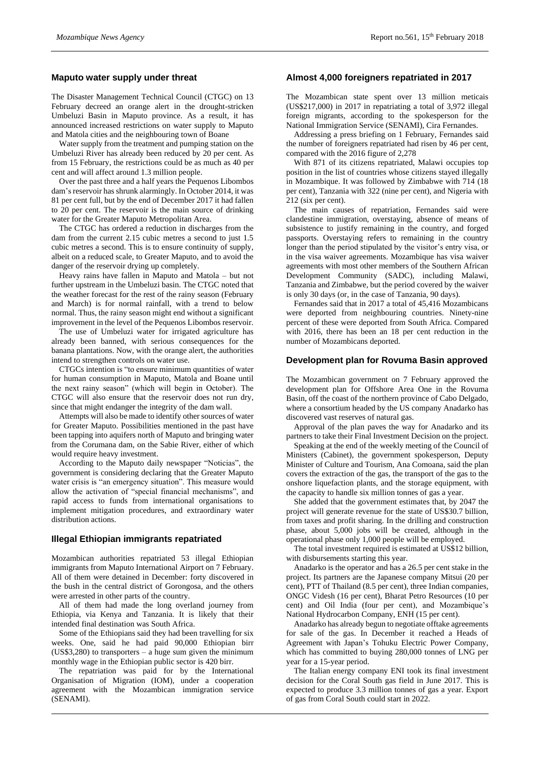#### **Maputo water supply under threat**

The Disaster Management Technical Council (CTGC) on 13 February decreed an orange alert in the drought-stricken Umbeluzi Basin in Maputo province. As a result, it has announced increased restrictions on water supply to Maputo and Matola cities and the neighbouring town of Boane

Water supply from the treatment and pumping station on the Umbeluzi River has already been reduced by 20 per cent. As from 15 February, the restrictions could be as much as 40 per cent and will affect around 1.3 million people.

Over the past three and a half years the Pequenos Libombos dam's reservoir has shrunk alarmingly. In October 2014, it was 81 per cent full, but by the end of December 2017 it had fallen to 20 per cent. The reservoir is the main source of drinking water for the Greater Maputo Metropolitan Area.

The CTGC has ordered a reduction in discharges from the dam from the current 2.15 cubic metres a second to just 1.5 cubic metres a second. This is to ensure continuity of supply, albeit on a reduced scale, to Greater Maputo, and to avoid the danger of the reservoir drying up completely.

Heavy rains have fallen in Maputo and Matola – but not further upstream in the Umbeluzi basin. The CTGC noted that the weather forecast for the rest of the rainy season (February and March) is for normal rainfall, with a trend to below normal. Thus, the rainy season might end without a significant improvement in the level of the Pequenos Libombos reservoir.

The use of Umbeluzi water for irrigated agriculture has already been banned, with serious consequences for the banana plantations. Now, with the orange alert, the authorities intend to strengthen controls on water use.

CTGCs intention is "to ensure minimum quantities of water for human consumption in Maputo, Matola and Boane until the next rainy season" (which will begin in October). The CTGC will also ensure that the reservoir does not run dry, since that might endanger the integrity of the dam wall.

Attempts will also be made to identify other sources of water for Greater Maputo. Possibilities mentioned in the past have been tapping into aquifers north of Maputo and bringing water from the Corumana dam, on the Sabie River, either of which would require heavy investment.

According to the Maputo daily newspaper "Noticias", the government is considering declaring that the Greater Maputo water crisis is "an emergency situation". This measure would allow the activation of "special financial mechanisms", and rapid access to funds from international organisations to implement mitigation procedures, and extraordinary water distribution actions.

#### **Illegal Ethiopian immigrants repatriated**

Mozambican authorities repatriated 53 illegal Ethiopian immigrants from Maputo International Airport on 7 February. All of them were detained in December: forty discovered in the bush in the central district of Gorongosa, and the others were arrested in other parts of the country.

All of them had made the long overland journey from Ethiopia, via Kenya and Tanzania. It is likely that their intended final destination was South Africa.

Some of the Ethiopians said they had been travelling for six weeks. One, said he had paid 90,000 Ethiopian birr  $(US$3,280)$  to transporters – a huge sum given the minimum monthly wage in the Ethiopian public sector is 420 birr.

The repatriation was paid for by the International Organisation of Migration (IOM), under a cooperation agreement with the Mozambican immigration service (SENAMI).

### **Almost 4,000 foreigners repatriated in 2017**

The Mozambican state spent over 13 million meticais (US\$217,000) in 2017 in repatriating a total of 3,972 illegal foreign migrants, according to the spokesperson for the National Immigration Service (SENAMI), Cira Fernandes.

Addressing a press briefing on 1 February, Fernandes said the number of foreigners repatriated had risen by 46 per cent, compared with the 2016 figure of 2,278

With 871 of its citizens repatriated, Malawi occupies top position in the list of countries whose citizens stayed illegally in Mozambique. It was followed by Zimbabwe with 714 (18 per cent), Tanzania with 322 (nine per cent), and Nigeria with 212 (six per cent).

The main causes of repatriation, Fernandes said were clandestine immigration, overstaying, absence of means of subsistence to justify remaining in the country, and forged passports. Overstaying refers to remaining in the country longer than the period stipulated by the visitor's entry visa, or in the visa waiver agreements. Mozambique has visa waiver agreements with most other members of the Southern African Development Community (SADC), including Malawi, Tanzania and Zimbabwe, but the period covered by the waiver is only 30 days (or, in the case of Tanzania, 90 days).

Fernandes said that in 2017 a total of 45,416 Mozambicans were deported from neighbouring countries. Ninety-nine percent of these were deported from South Africa. Compared with 2016, there has been an 18 per cent reduction in the number of Mozambicans deported.

#### **Development plan for Rovuma Basin approved**

The Mozambican government on 7 February approved the development plan for Offshore Area One in the Rovuma Basin, off the coast of the northern province of Cabo Delgado, where a consortium headed by the US company Anadarko has discovered vast reserves of natural gas.

Approval of the plan paves the way for Anadarko and its partners to take their Final Investment Decision on the project.

Speaking at the end of the weekly meeting of the Council of Ministers (Cabinet), the government spokesperson, Deputy Minister of Culture and Tourism, Ana Comoana, said the plan covers the extraction of the gas, the transport of the gas to the onshore liquefaction plants, and the storage equipment, with the capacity to handle six million tonnes of gas a year.

She added that the government estimates that, by 2047 the project will generate revenue for the state of US\$30.7 billion, from taxes and profit sharing. In the drilling and construction phase, about 5,000 jobs will be created, although in the operational phase only 1,000 people will be employed.

The total investment required is estimated at US\$12 billion, with disbursements starting this year.

Anadarko is the operator and has a 26.5 per cent stake in the project. Its partners are the Japanese company Mitsui (20 per cent), PTT of Thailand (8.5 per cent), three Indian companies, ONGC Videsh (16 per cent), Bharat Petro Resources (10 per cent) and Oil India (four per cent), and Mozambique's National Hydrocarbon Company, ENH (15 per cent).

Anadarko has already begun to negotiate offtake agreements for sale of the gas. In December it reached a Heads of Agreement with Japan's Tohuku Electric Power Company, which has committed to buying 280,000 tonnes of LNG per year for a 15-year period.

The Italian energy company ENI took its final investment decision for the Coral South gas field in June 2017. This is expected to produce 3.3 million tonnes of gas a year. Export of gas from Coral South could start in 2022.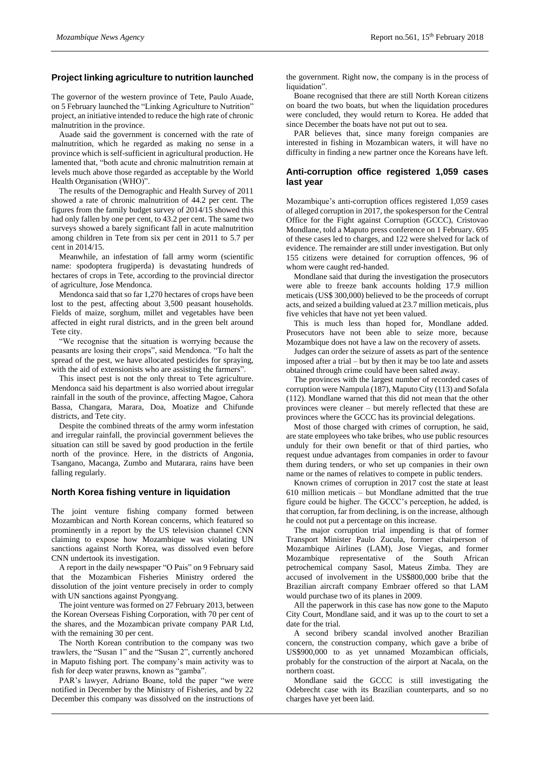#### **Project linking agriculture to nutrition launched**

The governor of the western province of Tete, Paulo Auade, on 5 February launched the "Linking Agriculture to Nutrition" project, an initiative intended to reduce the high rate of chronic malnutrition in the province.

Auade said the government is concerned with the rate of malnutrition, which he regarded as making no sense in a province which is self-sufficient in agricultural production. He lamented that, "both acute and chronic malnutrition remain at levels much above those regarded as acceptable by the World Health Organisation (WHO)".

The results of the Demographic and Health Survey of 2011 showed a rate of chronic malnutrition of 44.2 per cent. The figures from the family budget survey of 2014/15 showed this had only fallen by one per cent, to 43.2 per cent. The same two surveys showed a barely significant fall in acute malnutrition among children in Tete from six per cent in 2011 to 5.7 per cent in 2014/15.

Meanwhile, an infestation of fall army worm (scientific name: spodoptera frugiperda) is devastating hundreds of hectares of crops in Tete, according to the provincial director of agriculture, Jose Mendonca.

Mendonca said that so far 1,270 hectares of crops have been lost to the pest, affecting about 3,500 peasant households. Fields of maize, sorghum, millet and vegetables have been affected in eight rural districts, and in the green belt around Tete city.

"We recognise that the situation is worrying because the peasants are losing their crops", said Mendonca. "To halt the spread of the pest, we have allocated pesticides for spraying, with the aid of extensionists who are assisting the farmers".

This insect pest is not the only threat to Tete agriculture. Mendonca said his department is also worried about irregular rainfall in the south of the province, affecting Magoe, Cahora Bassa, Changara, Marara, Doa, Moatize and Chifunde districts, and Tete city.

Despite the combined threats of the army worm infestation and irregular rainfall, the provincial government believes the situation can still be saved by good production in the fertile north of the province. Here, in the districts of Angonia, Tsangano, Macanga, Zumbo and Mutarara, rains have been falling regularly.

#### **North Korea fishing venture in liquidation**

The joint venture fishing company formed between Mozambican and North Korean concerns, which featured so prominently in a report by the US television channel CNN claiming to expose how Mozambique was violating UN sanctions against North Korea, was dissolved even before CNN undertook its investigation.

A report in the daily newspaper "O Pais" on 9 February said that the Mozambican Fisheries Ministry ordered the dissolution of the joint venture precisely in order to comply with UN sanctions against Pyongyang.

The joint venture was formed on 27 February 2013, between the Korean Overseas Fishing Corporation, with 70 per cent of the shares, and the Mozambican private company PAR Ltd, with the remaining 30 per cent.

The North Korean contribution to the company was two trawlers, the "Susan 1" and the "Susan 2", currently anchored in Maputo fishing port. The company's main activity was to fish for deep water prawns, known as "gamba".

PAR's lawyer, Adriano Boane, told the paper "we were notified in December by the Ministry of Fisheries, and by 22 December this company was dissolved on the instructions of the government. Right now, the company is in the process of liquidation".

Boane recognised that there are still North Korean citizens on board the two boats, but when the liquidation procedures were concluded, they would return to Korea. He added that since December the boats have not put out to sea.

PAR believes that, since many foreign companies are interested in fishing in Mozambican waters, it will have no difficulty in finding a new partner once the Koreans have left.

#### **Anti-corruption office registered 1,059 cases last year**

Mozambique's anti-corruption offices registered 1,059 cases of alleged corruption in 2017, the spokesperson for the Central Office for the Fight against Corruption (GCCC), Cristovao Mondlane, told a Maputo press conference on 1 February. 695 of these cases led to charges, and 122 were shelved for lack of evidence. The remainder are still under investigation. But only 155 citizens were detained for corruption offences, 96 of whom were caught red-handed.

Mondlane said that during the investigation the prosecutors were able to freeze bank accounts holding 17.9 million meticais (US\$ 300,000) believed to be the proceeds of corrupt acts, and seized a building valued at 23.7 million meticais, plus five vehicles that have not yet been valued.

This is much less than hoped for, Mondlane added. Prosecutors have not been able to seize more, because Mozambique does not have a law on the recovery of assets.

Judges can order the seizure of assets as part of the sentence imposed after a trial – but by then it may be too late and assets obtained through crime could have been salted away.

The provinces with the largest number of recorded cases of corruption were Nampula (187), Maputo City (113) and Sofala (112). Mondlane warned that this did not mean that the other provinces were cleaner – but merely reflected that these are provinces where the GCCC has its provincial delegations.

Most of those charged with crimes of corruption, he said, are state employees who take bribes, who use public resources unduly for their own benefit or that of third parties, who request undue advantages from companies in order to favour them during tenders, or who set up companies in their own name or the names of relatives to compete in public tenders.

Known crimes of corruption in 2017 cost the state at least 610 million meticais – but Mondlane admitted that the true figure could be higher. The GCCC's perception, he added, is that corruption, far from declining, is on the increase, although he could not put a percentage on this increase.

The major corruption trial impending is that of former Transport Minister Paulo Zucula, former chairperson of Mozambique Airlines (LAM), Jose Viegas, and former Mozambique representative of the South African petrochemical company Sasol, Mateus Zimba. They are accused of involvement in the US\$800,000 bribe that the Brazilian aircraft company Embraer offered so that LAM would purchase two of its planes in 2009.

All the paperwork in this case has now gone to the Maputo City Court, Mondlane said, and it was up to the court to set a date for the trial.

A second bribery scandal involved another Brazilian concern, the construction company, which gave a bribe of US\$900,000 to as yet unnamed Mozambican officials, probably for the construction of the airport at Nacala, on the northern coast.

Mondlane said the GCCC is still investigating the Odebrecht case with its Brazilian counterparts, and so no charges have yet been laid.